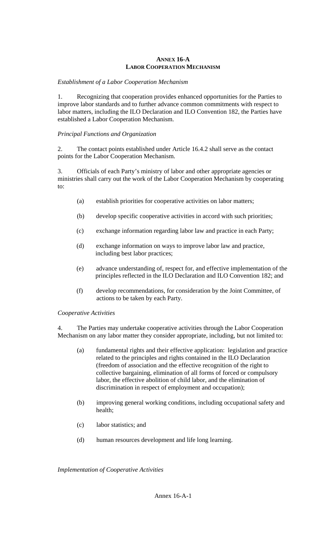## **ANNEX 16-A LABOR COOPERATION MECHANISM**

## *Establishment of a Labor Cooperation Mechanism*

1. Recognizing that cooperation provides enhanced opportunities for the Parties to improve labor standards and to further advance common commitments with respect to labor matters, including the ILO Declaration and ILO Convention 182, the Parties have established a Labor Cooperation Mechanism.

## *Principal Functions and Organization*

2. The contact points established under Article 16.4.2 shall serve as the contact points for the Labor Cooperation Mechanism.

3. Officials of each Party's ministry of labor and other appropriate agencies or ministries shall carry out the work of the Labor Cooperation Mechanism by cooperating to:

- (a) establish priorities for cooperative activities on labor matters;
- (b) develop specific cooperative activities in accord with such priorities;
- (c) exchange information regarding labor law and practice in each Party;
- (d) exchange information on ways to improve labor law and practice, including best labor practices;
- (e) advance understanding of, respect for, and effective implementation of the principles reflected in the ILO Declaration and ILO Convention 182; and
- (f) develop recommendations, for consideration by the Joint Committee, of actions to be taken by each Party.

*Cooperative Activities* 

The Parties may undertake cooperative activities through the Labor Cooperation Mechanism on any labor matter they consider appropriate, including, but not limited to:

- (a) fundamental rights and their effective application: legislation and practice related to the principles and rights contained in the ILO Declaration (freedom of association and the effective recognition of the right to collective bargaining, elimination of all forms of forced or compulsory labor, the effective abolition of child labor, and the elimination of discrimination in respect of employment and occupation);
- (b) improving general working conditions, including occupational safety and health;
- (c) labor statistics; and
- (d) human resources development and life long learning.

*Implementation of Cooperative Activities*